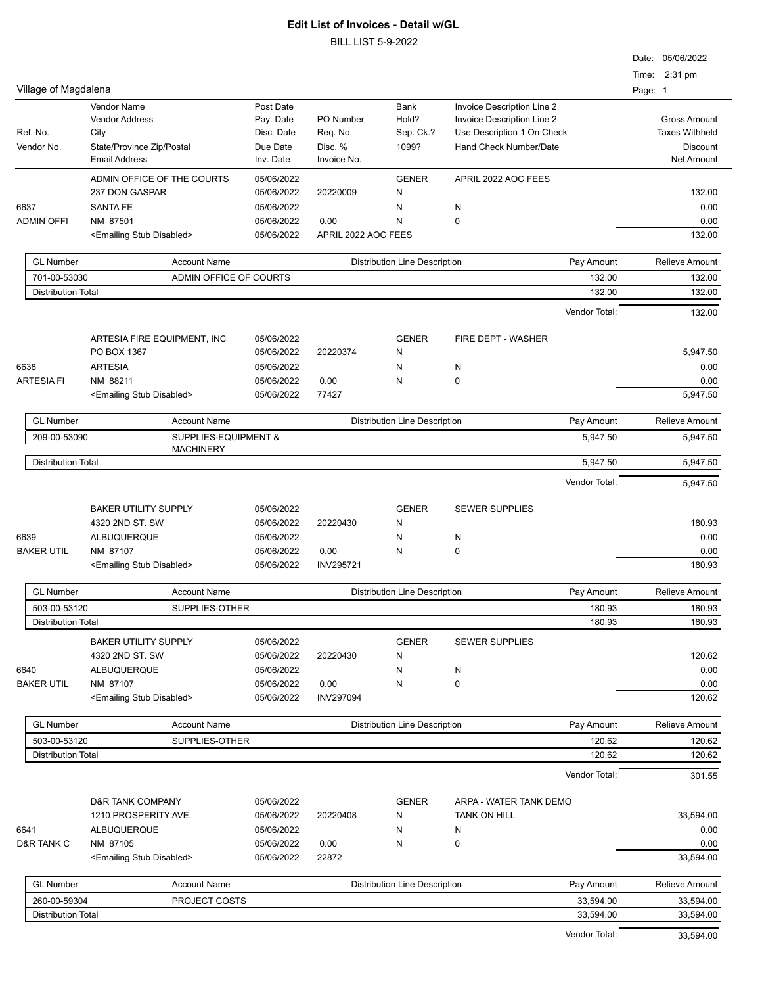|                                           |                                           |                          |                     |                                      |                            |         | Date: 05/06/2022      |
|-------------------------------------------|-------------------------------------------|--------------------------|---------------------|--------------------------------------|----------------------------|---------|-----------------------|
|                                           |                                           |                          |                     |                                      |                            |         | Time: 2:31 pm         |
| Village of Magdalena                      |                                           |                          |                     |                                      |                            | Page: 1 |                       |
|                                           | Vendor Name                               | Post Date                |                     | Bank                                 | Invoice Description Line 2 |         |                       |
|                                           | <b>Vendor Address</b>                     | Pay. Date                | PO Number           | Hold?                                | Invoice Description Line 2 |         | <b>Gross Amount</b>   |
| Ref. No.                                  | City                                      | Disc. Date               | Req. No.            | Sep. Ck.?                            | Use Description 1 On Check |         | <b>Taxes Withheld</b> |
| Vendor No.                                | State/Province Zip/Postal                 | Due Date                 | Disc. %             | 1099?                                | Hand Check Number/Date     |         | Discount              |
|                                           | <b>Email Address</b>                      | Inv. Date                | Invoice No.         |                                      |                            |         | Net Amount            |
|                                           | ADMIN OFFICE OF THE COURTS                | 05/06/2022               |                     | <b>GENER</b>                         | APRIL 2022 AOC FEES        |         |                       |
|                                           | 237 DON GASPAR                            | 05/06/2022               | 20220009            | N                                    |                            |         | 132.00                |
| 6637                                      | <b>SANTA FE</b>                           | 05/06/2022               |                     | N                                    | N                          |         | 0.00                  |
| <b>ADMIN OFFI</b>                         | NM 87501                                  | 05/06/2022               | 0.00                | N                                    | 0                          |         | 0.00                  |
|                                           | <emailing disabled="" stub=""></emailing> | 05/06/2022               | APRIL 2022 AOC FEES |                                      |                            |         | 132.00                |
| <b>GL Number</b>                          | <b>Account Name</b>                       |                          |                     | <b>Distribution Line Description</b> | Pay Amount                 |         | Relieve Amount        |
| 701-00-53030                              | ADMIN OFFICE OF COURTS                    |                          |                     |                                      | 132.00                     |         | 132.00                |
| <b>Distribution Total</b>                 |                                           |                          |                     |                                      | 132.00                     |         | 132.00                |
|                                           |                                           |                          |                     |                                      | Vendor Total:              |         | 132.00                |
|                                           |                                           |                          |                     |                                      |                            |         |                       |
|                                           | ARTESIA FIRE EQUIPMENT, INC               | 05/06/2022               |                     | <b>GENER</b>                         | FIRE DEPT - WASHER         |         |                       |
|                                           | PO BOX 1367                               | 05/06/2022               | 20220374            | N                                    |                            |         | 5,947.50              |
| 6638                                      | <b>ARTESIA</b>                            | 05/06/2022               |                     | N                                    | N                          |         | 0.00                  |
| <b>ARTESIA FI</b>                         | NM 88211                                  | 05/06/2022               | 0.00                | N                                    | 0                          |         | 0.00                  |
|                                           | <emailing disabled="" stub=""></emailing> | 05/06/2022               | 77427               |                                      |                            |         | 5,947.50              |
| <b>GL Number</b>                          | <b>Account Name</b>                       |                          |                     | <b>Distribution Line Description</b> | Pay Amount                 |         | <b>Relieve Amount</b> |
| 209-00-53090                              | SUPPLIES-EQUIPMENT &                      |                          |                     |                                      | 5,947.50                   |         | 5,947.50              |
|                                           | <b>MACHINERY</b>                          |                          |                     |                                      |                            |         |                       |
| <b>Distribution Total</b>                 |                                           |                          |                     |                                      | 5,947.50                   |         | 5,947.50              |
|                                           |                                           |                          |                     |                                      | Vendor Total:              |         | 5,947.50              |
|                                           | <b>BAKER UTILITY SUPPLY</b>               | 05/06/2022               |                     | <b>GENER</b>                         | <b>SEWER SUPPLIES</b>      |         |                       |
|                                           | 4320 2ND ST. SW                           | 05/06/2022               | 20220430            | N                                    |                            |         | 180.93                |
| 6639                                      | ALBUQUERQUE                               | 05/06/2022               |                     | N                                    | N                          |         | 0.00                  |
| <b>BAKER UTIL</b>                         | NM 87107                                  | 05/06/2022               | 0.00                | N                                    | 0                          |         | 0.00                  |
|                                           | <emailing disabled="" stub=""></emailing> | 05/06/2022               | <b>INV295721</b>    |                                      |                            |         | 180.93                |
|                                           |                                           |                          |                     |                                      |                            |         |                       |
| <b>GL Number</b>                          | <b>Account Name</b>                       |                          |                     | <b>Distribution Line Description</b> | Pay Amount                 |         | <b>Relieve Amount</b> |
| 503-00-53120<br><b>Distribution Total</b> | SUPPLIES-OTHER                            |                          |                     |                                      | 180.93<br>180.93           |         | 180.93<br>180.93      |
|                                           | <b>BAKER UTILITY SUPPLY</b>               |                          |                     |                                      |                            |         |                       |
|                                           | 4320 2ND ST. SW                           | 05/06/2022<br>05/06/2022 | 20220430            | <b>GENER</b><br>N                    | <b>SEWER SUPPLIES</b>      |         | 120.62                |
|                                           |                                           | 05/06/2022               |                     |                                      |                            |         | 0.00                  |
| 6640<br><b>BAKER UTIL</b>                 | ALBUQUERQUE<br>NM 87107                   | 05/06/2022               | 0.00                | N<br>Ν                               | N<br>0                     |         | 0.00                  |
|                                           | <emailing disabled="" stub=""></emailing> | 05/06/2022               | <b>INV297094</b>    |                                      |                            |         | 120.62                |
|                                           |                                           |                          |                     |                                      |                            |         |                       |
| <b>GL Number</b>                          | <b>Account Name</b>                       |                          |                     | <b>Distribution Line Description</b> | Pay Amount                 |         | <b>Relieve Amount</b> |
| 503-00-53120                              | SUPPLIES-OTHER                            |                          |                     |                                      | 120.62                     |         | 120.62                |
| <b>Distribution Total</b>                 |                                           |                          |                     |                                      | 120.62                     |         | 120.62                |
|                                           |                                           |                          |                     |                                      | Vendor Total:              |         | 301.55                |
|                                           | D&R TANK COMPANY                          | 05/06/2022               |                     | <b>GENER</b>                         | ARPA - WATER TANK DEMO     |         |                       |
|                                           | 1210 PROSPERITY AVE.                      | 05/06/2022               | 20220408            | N                                    | TANK ON HILL               |         | 33,594.00             |
| 6641                                      | ALBUQUERQUE                               | 05/06/2022               |                     | N                                    | N                          |         | 0.00                  |
| D&R TANK C                                | NM 87105                                  | 05/06/2022               | 0.00                | N                                    | 0                          |         | 0.00                  |
|                                           | <emailing disabled="" stub=""></emailing> | 05/06/2022               | 22872               |                                      |                            |         | 33,594.00             |
| <b>GL Number</b>                          | <b>Account Name</b>                       |                          |                     | <b>Distribution Line Description</b> | Pay Amount                 |         | <b>Relieve Amount</b> |
| 260-00-59304                              | PROJECT COSTS                             |                          |                     |                                      | 33,594.00                  |         | 33,594.00             |
| <b>Distribution Total</b>                 |                                           |                          |                     |                                      | 33,594.00                  |         | 33,594.00             |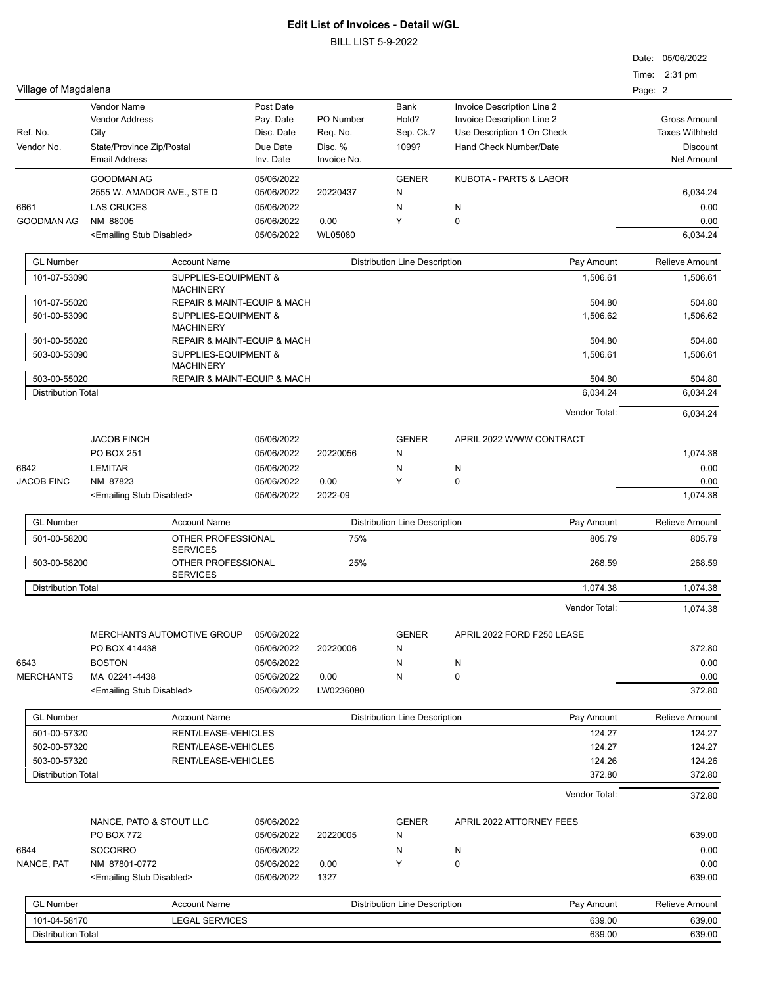BILL LIST 5-9-2022

|                           |                                             |                                            |                |                                      |                                                          | Date: 05/06/2022      |
|---------------------------|---------------------------------------------|--------------------------------------------|----------------|--------------------------------------|----------------------------------------------------------|-----------------------|
|                           |                                             |                                            |                |                                      |                                                          | Time: 2:31 pm         |
| Village of Magdalena      |                                             |                                            |                |                                      |                                                          | Page: 2               |
|                           | <b>Vendor Name</b><br><b>Vendor Address</b> | Post Date                                  | PO Number      | Bank<br>Hold?                        | Invoice Description Line 2<br>Invoice Description Line 2 | <b>Gross Amount</b>   |
| Ref. No.                  | City                                        | Pay. Date<br>Disc. Date                    | Req. No.       | Sep. Ck.?                            | Use Description 1 On Check                               | <b>Taxes Withheld</b> |
| Vendor No.                | State/Province Zip/Postal                   | Due Date                                   | Disc. %        | 1099?                                | Hand Check Number/Date                                   | <b>Discount</b>       |
|                           | <b>Email Address</b>                        | Inv. Date                                  | Invoice No.    |                                      |                                                          | <b>Net Amount</b>     |
|                           |                                             |                                            |                |                                      |                                                          |                       |
|                           | <b>GOODMAN AG</b>                           | 05/06/2022                                 |                | <b>GENER</b>                         | <b>KUBOTA - PARTS &amp; LABOR</b>                        |                       |
|                           | 2555 W. AMADOR AVE., STE D                  | 05/06/2022                                 | 20220437       | N                                    |                                                          | 6,034.24              |
| 6661                      | <b>LAS CRUCES</b>                           | 05/06/2022                                 |                | N                                    | N                                                        | 0.00                  |
| GOODMAN AG                | NM 88005                                    | 05/06/2022                                 | 0.00           | Y                                    | 0                                                        | 0.00                  |
|                           | <emailing disabled="" stub=""></emailing>   | 05/06/2022                                 | <b>WL05080</b> |                                      |                                                          | 6,034.24              |
| <b>GL Number</b>          | <b>Account Name</b>                         |                                            |                | <b>Distribution Line Description</b> | Pay Amount                                               | <b>Relieve Amount</b> |
| 101-07-53090              |                                             | SUPPLIES-EQUIPMENT &                       |                |                                      | 1,506.61                                                 | 1,506.61              |
|                           | <b>MACHINERY</b>                            |                                            |                |                                      |                                                          |                       |
| 101-07-55020              |                                             | <b>REPAIR &amp; MAINT-EQUIP &amp; MACH</b> |                |                                      | 504.80                                                   | 504.80                |
| 501-00-53090              |                                             | SUPPLIES-EQUIPMENT &                       |                |                                      | 1,506.62                                                 | 1,506.62              |
|                           | <b>MACHINERY</b>                            |                                            |                |                                      |                                                          |                       |
| 501-00-55020              |                                             | <b>REPAIR &amp; MAINT-EQUIP &amp; MACH</b> |                |                                      | 504.80                                                   | 504.80                |
| 503-00-53090              |                                             | SUPPLIES-EQUIPMENT &                       |                |                                      | 1,506.61                                                 | 1,506.61              |
|                           | <b>MACHINERY</b>                            |                                            |                |                                      |                                                          |                       |
| 503-00-55020              |                                             | REPAIR & MAINT-EQUIP & MACH                |                |                                      | 504.80                                                   | 504.80                |
| <b>Distribution Total</b> |                                             |                                            |                |                                      | 6,034.24                                                 | 6,034.24              |
|                           |                                             |                                            |                |                                      | Vendor Total:                                            | 6,034.24              |
|                           | <b>JACOB FINCH</b>                          | 05/06/2022                                 |                | <b>GENER</b>                         | APRIL 2022 W/WW CONTRACT                                 |                       |
|                           | PO BOX 251                                  | 05/06/2022                                 | 20220056       | N                                    |                                                          | 1,074.38              |
| 6642                      | <b>LEMITAR</b>                              | 05/06/2022                                 |                | N                                    | N                                                        | 0.00                  |
| <b>JACOB FINC</b>         | NM 87823                                    | 05/06/2022                                 | 0.00           | Y                                    | 0                                                        | 0.00                  |
|                           | <emailing disabled="" stub=""></emailing>   | 05/06/2022                                 | 2022-09        |                                      |                                                          | 1,074.38              |
|                           |                                             |                                            |                |                                      |                                                          |                       |
| <b>GL Number</b>          | <b>Account Name</b>                         |                                            |                | <b>Distribution Line Description</b> | Pay Amount                                               | Relieve Amount        |
| 501-00-58200              | <b>SERVICES</b>                             | OTHER PROFESSIONAL                         | 75%            |                                      | 805.79                                                   | 805.79                |
| 503-00-58200              |                                             | OTHER PROFESSIONAL                         | 25%            |                                      | 268.59                                                   | 268.59                |
|                           | <b>SERVICES</b>                             |                                            |                |                                      |                                                          |                       |
| <b>Distribution Total</b> |                                             |                                            |                |                                      | 1,074.38                                                 | 1,074.38              |
|                           |                                             |                                            |                |                                      | Vendor Total:                                            | 1,074.38              |
|                           | <b>MERCHANTS AUTOMOTIVE GROUP</b>           | 05/06/2022                                 |                | <b>GENER</b>                         | APRIL 2022 FORD F250 LEASE                               |                       |
|                           | PO BOX 414438                               | 05/06/2022                                 | 20220006       | N                                    |                                                          | 372.80                |
| 6643                      | <b>BOSTON</b>                               | 05/06/2022                                 |                | N                                    | N                                                        | 0.00                  |
| <b>MERCHANTS</b>          | MA 02241-4438                               | 05/06/2022                                 | 0.00           | N                                    | 0                                                        | 0.00                  |
|                           | <emailing disabled="" stub=""></emailing>   | 05/06/2022                                 | LW0236080      |                                      |                                                          | 372.80                |
|                           |                                             |                                            |                |                                      |                                                          |                       |
| <b>GL Number</b>          | <b>Account Name</b>                         |                                            |                | <b>Distribution Line Description</b> | Pay Amount                                               | <b>Relieve Amount</b> |
| 501-00-57320              |                                             | RENT/LEASE-VEHICLES                        |                |                                      | 124.27                                                   | 124.27                |
| 502-00-57320              |                                             | RENT/LEASE-VEHICLES                        |                |                                      | 124.27                                                   | 124.27                |
| 503-00-57320              |                                             | RENT/LEASE-VEHICLES                        |                |                                      | 124.26                                                   | 124.26                |
| <b>Distribution Total</b> |                                             |                                            |                |                                      | 372.80                                                   | 372.80                |
|                           |                                             |                                            |                |                                      | Vendor Total:                                            | 372.80                |
|                           | NANCE, PATO & STOUT LLC                     | 05/06/2022                                 |                | <b>GENER</b>                         | APRIL 2022 ATTORNEY FEES                                 |                       |
|                           | PO BOX 772                                  | 05/06/2022                                 | 20220005       | N                                    |                                                          | 639.00                |
| 6644                      | <b>SOCORRO</b>                              | 05/06/2022                                 |                | N                                    | N                                                        | 0.00                  |
| NANCE, PAT                | NM 87801-0772                               | 05/06/2022                                 | 0.00           | Υ                                    | 0                                                        | 0.00                  |
|                           | <emailing disabled="" stub=""></emailing>   | 05/06/2022                                 | 1327           |                                      |                                                          | 639.00                |
|                           |                                             |                                            |                |                                      |                                                          |                       |
| <b>GL Number</b>          | <b>Account Name</b>                         |                                            |                | <b>Distribution Line Description</b> | Pay Amount                                               | <b>Relieve Amount</b> |

101-04-58170 LEGAL SERVICES 639.00 639.00 Distribution Total 639.00 639.00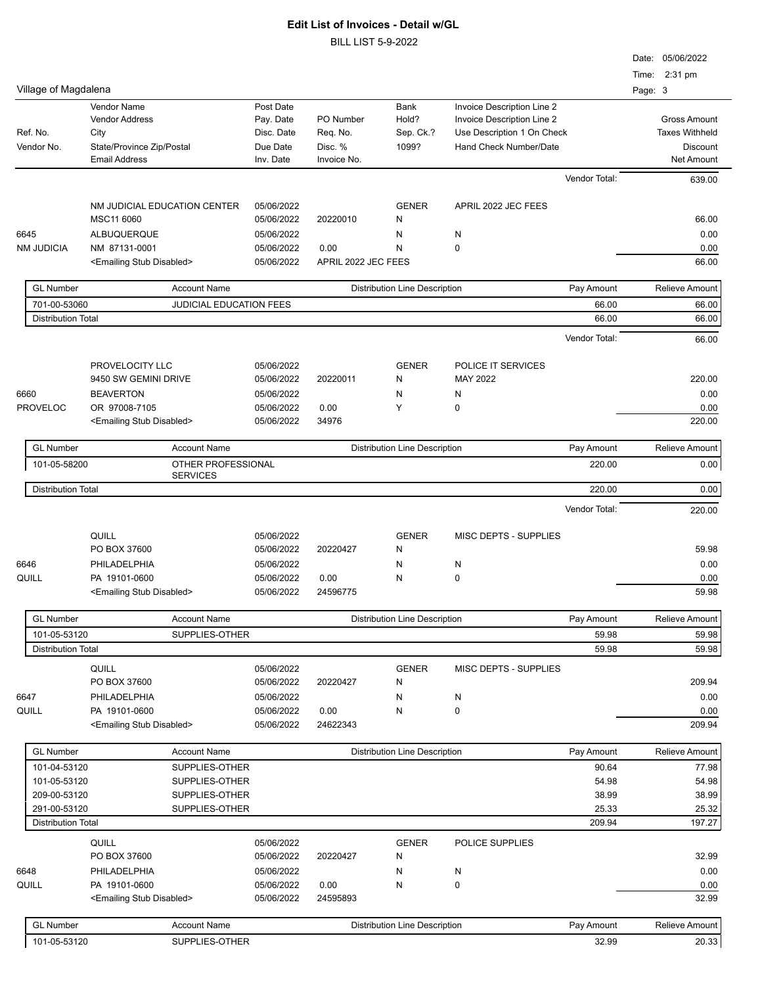|                                              |                                                                                                   |                                                               |                                                 |                                      |                                                                                                                  |                | Date: 05/06/2022<br>Time: 2:31 pm                                                    |
|----------------------------------------------|---------------------------------------------------------------------------------------------------|---------------------------------------------------------------|-------------------------------------------------|--------------------------------------|------------------------------------------------------------------------------------------------------------------|----------------|--------------------------------------------------------------------------------------|
| Village of Magdalena                         |                                                                                                   |                                                               |                                                 |                                      |                                                                                                                  |                | Page: 3                                                                              |
| Ref. No.<br>Vendor No.                       | Vendor Name<br><b>Vendor Address</b><br>City<br>State/Province Zip/Postal<br><b>Email Address</b> | Post Date<br>Pay. Date<br>Disc. Date<br>Due Date<br>Inv. Date | PO Number<br>Req. No.<br>Disc. %<br>Invoice No. | Bank<br>Hold?<br>Sep. Ck.?<br>1099?  | Invoice Description Line 2<br>Invoice Description Line 2<br>Use Description 1 On Check<br>Hand Check Number/Date |                | <b>Gross Amount</b><br><b>Taxes Withheld</b><br><b>Discount</b><br><b>Net Amount</b> |
|                                              |                                                                                                   |                                                               |                                                 |                                      |                                                                                                                  | Vendor Total:  | 639.00                                                                               |
|                                              | NM JUDICIAL EDUCATION CENTER                                                                      | 05/06/2022                                                    |                                                 | <b>GENER</b>                         | APRIL 2022 JEC FEES                                                                                              |                |                                                                                      |
|                                              | MSC11 6060                                                                                        | 05/06/2022                                                    | 20220010                                        | N                                    |                                                                                                                  |                | 66.00                                                                                |
| 6645                                         | <b>ALBUQUERQUE</b>                                                                                | 05/06/2022                                                    |                                                 | N                                    | N                                                                                                                |                | 0.00                                                                                 |
| <b>NM JUDICIA</b>                            | NM 87131-0001                                                                                     | 05/06/2022                                                    | 0.00                                            | N                                    | 0                                                                                                                |                | 0.00                                                                                 |
|                                              | <emailing disabled="" stub=""></emailing>                                                         | 05/06/2022                                                    | APRIL 2022 JEC FEES                             |                                      |                                                                                                                  |                | 66.00                                                                                |
| <b>GL Number</b>                             | <b>Account Name</b>                                                                               |                                                               |                                                 | <b>Distribution Line Description</b> |                                                                                                                  | Pay Amount     | Relieve Amount                                                                       |
| 701-00-53060                                 | JUDICIAL EDUCATION FEES                                                                           |                                                               |                                                 |                                      |                                                                                                                  | 66.00          | 66.00                                                                                |
| <b>Distribution Total</b>                    |                                                                                                   |                                                               |                                                 |                                      |                                                                                                                  | 66.00          | 66.00                                                                                |
|                                              |                                                                                                   |                                                               |                                                 |                                      |                                                                                                                  | Vendor Total:  | 66.00                                                                                |
|                                              | PROVELOCITY LLC                                                                                   | 05/06/2022                                                    |                                                 | <b>GENER</b>                         | POLICE IT SERVICES                                                                                               |                |                                                                                      |
|                                              | 9450 SW GEMINI DRIVE                                                                              | 05/06/2022                                                    | 20220011                                        | N                                    | MAY 2022                                                                                                         |                | 220.00                                                                               |
| 6660                                         | <b>BEAVERTON</b>                                                                                  | 05/06/2022                                                    |                                                 | Ν                                    | N                                                                                                                |                | 0.00                                                                                 |
| <b>PROVELOC</b>                              | OR 97008-7105                                                                                     | 05/06/2022                                                    | 0.00                                            | Υ                                    | 0                                                                                                                |                | 0.00                                                                                 |
|                                              | <emailing disabled="" stub=""></emailing>                                                         | 05/06/2022                                                    | 34976                                           |                                      |                                                                                                                  |                | 220.00                                                                               |
| <b>GL Number</b>                             | <b>Account Name</b>                                                                               |                                                               |                                                 | <b>Distribution Line Description</b> |                                                                                                                  | Pay Amount     | Relieve Amount                                                                       |
| 101-05-58200                                 | OTHER PROFESSIONAL                                                                                |                                                               |                                                 |                                      |                                                                                                                  | 220.00         | 0.00                                                                                 |
| <b>SERVICES</b><br><b>Distribution Total</b> |                                                                                                   |                                                               |                                                 |                                      |                                                                                                                  | 220.00         | 0.00                                                                                 |
|                                              |                                                                                                   |                                                               |                                                 |                                      |                                                                                                                  | Vendor Total:  | 220.00                                                                               |
|                                              |                                                                                                   |                                                               |                                                 |                                      |                                                                                                                  |                |                                                                                      |
|                                              | QUILL                                                                                             | 05/06/2022                                                    |                                                 | <b>GENER</b>                         | <b>MISC DEPTS - SUPPLIES</b>                                                                                     |                |                                                                                      |
| 6646                                         | PO BOX 37600<br>PHILADELPHIA                                                                      | 05/06/2022<br>05/06/2022                                      | 20220427                                        | Ν<br>Ν                               | N                                                                                                                |                | 59.98<br>0.00                                                                        |
| QUILL                                        | PA 19101-0600                                                                                     | 05/06/2022                                                    | 0.00                                            | Ν                                    | 0                                                                                                                |                | 0.00                                                                                 |
|                                              | <emailing disabled="" stub=""></emailing>                                                         | 05/06/2022                                                    | 24596775                                        |                                      |                                                                                                                  |                | 59.98                                                                                |
| <b>GL Number</b>                             | <b>Account Name</b>                                                                               |                                                               |                                                 | <b>Distribution Line Description</b> |                                                                                                                  | Pay Amount     | Relieve Amount                                                                       |
| 101-05-53120                                 | SUPPLIES-OTHER                                                                                    |                                                               |                                                 |                                      |                                                                                                                  | 59.98          | 59.98                                                                                |
| <b>Distribution Total</b>                    |                                                                                                   |                                                               |                                                 |                                      |                                                                                                                  | 59.98          | 59.98                                                                                |
|                                              | QUILL                                                                                             | 05/06/2022                                                    |                                                 | <b>GENER</b>                         | MISC DEPTS - SUPPLIES                                                                                            |                |                                                                                      |
|                                              | PO BOX 37600                                                                                      | 05/06/2022                                                    | 20220427                                        | N                                    |                                                                                                                  |                | 209.94                                                                               |
| 6647                                         | PHILADELPHIA                                                                                      | 05/06/2022                                                    |                                                 | N                                    | N                                                                                                                |                | 0.00                                                                                 |
| QUILL                                        | PA 19101-0600                                                                                     | 05/06/2022                                                    | 0.00                                            | Ν                                    | 0                                                                                                                |                | 0.00                                                                                 |
|                                              | <emailing disabled="" stub=""></emailing>                                                         | 05/06/2022                                                    | 24622343                                        |                                      |                                                                                                                  |                | 209.94                                                                               |
| <b>GL Number</b>                             | <b>Account Name</b>                                                                               |                                                               |                                                 | <b>Distribution Line Description</b> |                                                                                                                  | Pay Amount     | Relieve Amount                                                                       |
| 101-04-53120                                 | SUPPLIES-OTHER                                                                                    |                                                               |                                                 |                                      |                                                                                                                  | 90.64          | 77.98                                                                                |
| 101-05-53120                                 | SUPPLIES-OTHER                                                                                    |                                                               |                                                 |                                      |                                                                                                                  | 54.98          | 54.98                                                                                |
| 209-00-53120<br>291-00-53120                 | SUPPLIES-OTHER<br>SUPPLIES-OTHER                                                                  |                                                               |                                                 |                                      |                                                                                                                  | 38.99<br>25.33 | 38.99<br>25.32                                                                       |
| <b>Distribution Total</b>                    |                                                                                                   |                                                               |                                                 |                                      |                                                                                                                  | 209.94         | 197.27                                                                               |
|                                              | QUILL                                                                                             | 05/06/2022                                                    |                                                 | <b>GENER</b>                         | POLICE SUPPLIES                                                                                                  |                |                                                                                      |
|                                              | PO BOX 37600                                                                                      | 05/06/2022                                                    | 20220427                                        | N                                    |                                                                                                                  |                | 32.99                                                                                |
| 6648                                         | PHILADELPHIA                                                                                      | 05/06/2022                                                    |                                                 | N                                    | N                                                                                                                |                | 0.00                                                                                 |
| QUILL                                        | PA 19101-0600                                                                                     | 05/06/2022                                                    | 0.00                                            | Ν                                    | 0                                                                                                                |                | 0.00                                                                                 |
|                                              | <emailing disabled="" stub=""></emailing>                                                         | 05/06/2022                                                    | 24595893                                        |                                      |                                                                                                                  |                | 32.99                                                                                |
| <b>GL Number</b>                             | <b>Account Name</b>                                                                               |                                                               |                                                 | <b>Distribution Line Description</b> |                                                                                                                  | Pay Amount     | Relieve Amount                                                                       |
| 101-05-53120                                 | SUPPLIES-OTHER                                                                                    |                                                               |                                                 |                                      |                                                                                                                  | 32.99          | 20.33                                                                                |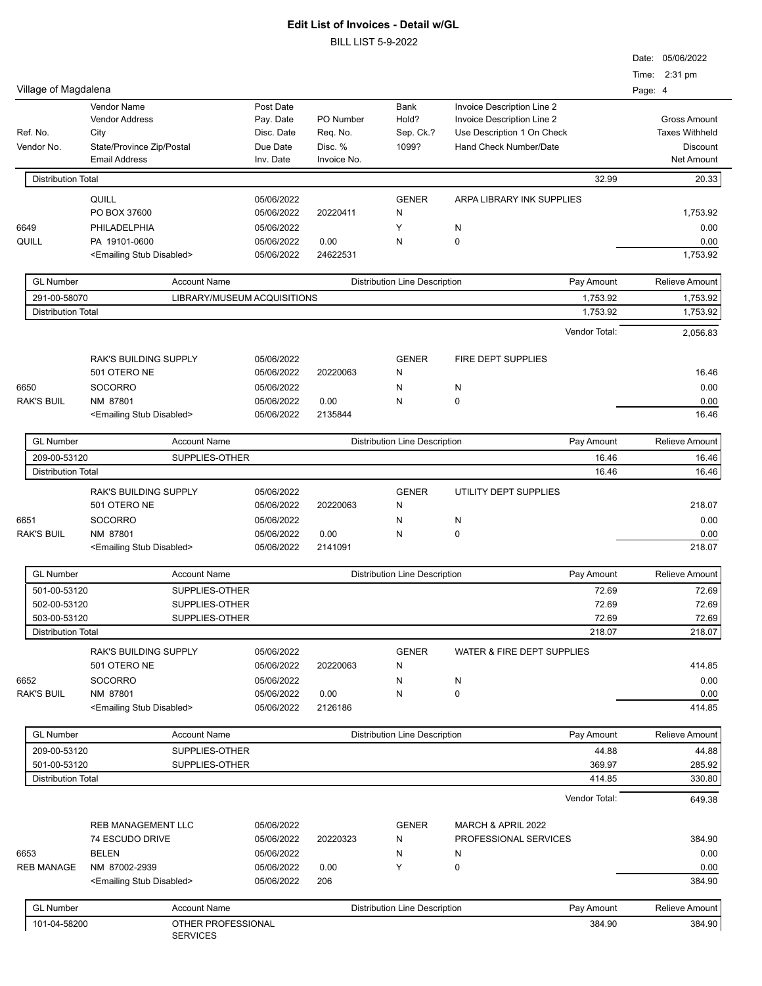|                           |                                           |                             |            |             |                                      |                            |         | Date: 05/06/2022      |
|---------------------------|-------------------------------------------|-----------------------------|------------|-------------|--------------------------------------|----------------------------|---------|-----------------------|
| Village of Magdalena      |                                           |                             |            |             |                                      |                            |         | Time: 2:31 pm         |
|                           | <b>Vendor Name</b>                        |                             | Post Date  |             | Bank                                 | Invoice Description Line 2 | Page: 4 |                       |
|                           | <b>Vendor Address</b>                     |                             | Pay. Date  | PO Number   | Hold?                                | Invoice Description Line 2 |         | <b>Gross Amount</b>   |
| Ref. No.                  | City                                      |                             | Disc. Date | Req. No.    | Sep. Ck.?                            | Use Description 1 On Check |         | <b>Taxes Withheld</b> |
| Vendor No.                | State/Province Zip/Postal                 |                             | Due Date   | Disc. %     | 1099?                                | Hand Check Number/Date     |         | <b>Discount</b>       |
|                           | <b>Email Address</b>                      |                             | Inv. Date  | Invoice No. |                                      |                            |         | Net Amount            |
| <b>Distribution Total</b> |                                           |                             |            |             |                                      | 32.99                      |         | 20.33                 |
|                           | QUILL                                     |                             | 05/06/2022 |             | <b>GENER</b>                         | ARPA LIBRARY INK SUPPLIES  |         |                       |
|                           | PO BOX 37600                              |                             | 05/06/2022 | 20220411    | Ν                                    |                            |         | 1,753.92              |
| 6649                      | PHILADELPHIA                              |                             | 05/06/2022 |             | Y                                    | N                          |         | 0.00                  |
| QUILL                     | PA 19101-0600                             |                             | 05/06/2022 | 0.00        | N                                    | $\mathbf 0$                |         | 0.00                  |
|                           | <emailing disabled="" stub=""></emailing> |                             | 05/06/2022 | 24622531    |                                      |                            |         | 1,753.92              |
| <b>GL Number</b>          |                                           | <b>Account Name</b>         |            |             | <b>Distribution Line Description</b> | Pay Amount                 |         | Relieve Amount        |
| 291-00-58070              |                                           | LIBRARY/MUSEUM ACQUISITIONS |            |             |                                      | 1,753.92                   |         | 1,753.92              |
| <b>Distribution Total</b> |                                           |                             |            |             |                                      | 1,753.92                   |         | 1,753.92              |
|                           |                                           |                             |            |             |                                      | Vendor Total:              |         | 2.056.83              |
|                           | RAK'S BUILDING SUPPLY                     |                             | 05/06/2022 |             | <b>GENER</b>                         | FIRE DEPT SUPPLIES         |         |                       |
|                           | 501 OTERO NE                              |                             | 05/06/2022 | 20220063    | N                                    |                            |         | 16.46                 |
| 6650                      | <b>SOCORRO</b>                            |                             | 05/06/2022 |             | Ν                                    | N                          |         | 0.00                  |
| <b>RAK'S BUIL</b>         | NM 87801                                  |                             | 05/06/2022 | 0.00        | N                                    | $\mathbf 0$                |         | 0.00                  |
|                           | <emailing disabled="" stub=""></emailing> |                             | 05/06/2022 | 2135844     |                                      |                            |         | 16.46                 |
| <b>GL Number</b>          |                                           | <b>Account Name</b>         |            |             | <b>Distribution Line Description</b> | Pay Amount                 |         | Relieve Amount        |
| 209-00-53120              |                                           | SUPPLIES-OTHER              |            |             |                                      | 16.46                      |         | 16.46                 |
| <b>Distribution Total</b> |                                           |                             |            |             |                                      | 16.46                      |         | 16.46                 |
|                           | RAK'S BUILDING SUPPLY                     |                             | 05/06/2022 |             | <b>GENER</b>                         | UTILITY DEPT SUPPLIES      |         |                       |
|                           | 501 OTERO NE                              |                             | 05/06/2022 | 20220063    | Ν                                    |                            |         | 218.07                |
| 6651                      | <b>SOCORRO</b>                            |                             | 05/06/2022 |             | N                                    | N                          |         | 0.00                  |
| <b>RAK'S BUIL</b>         | NM 87801                                  |                             | 05/06/2022 | 0.00        | Ν                                    | $\mathbf 0$                |         | 0.00                  |
|                           | <emailing disabled="" stub=""></emailing> |                             | 05/06/2022 | 2141091     |                                      |                            |         | 218.07                |
| <b>GL Number</b>          |                                           | <b>Account Name</b>         |            |             | <b>Distribution Line Description</b> | Pay Amount                 |         | Relieve Amount        |
| 501-00-53120              |                                           | SUPPLIES-OTHER              |            |             |                                      | 72.69                      |         | 72.69                 |
| 502-00-53120              |                                           | SUPPLIES-OTHER              |            |             |                                      | 72.69                      |         | 72.69                 |
| 503-00-53120              |                                           | SUPPLIES-OTHER              |            |             |                                      | 72.69                      |         | 72.69                 |
| <b>Distribution Total</b> |                                           |                             |            |             |                                      | 218.07                     |         | 218.07                |
|                           | <b>RAK'S BUILDING SUPPLY</b>              |                             | 05/06/2022 |             | <b>GENER</b>                         | WATER & FIRE DEPT SUPPLIES |         |                       |
|                           | 501 OTERO NE                              |                             | 05/06/2022 | 20220063    | N                                    |                            |         | 414.85                |
| 6652                      | <b>SOCORRO</b>                            |                             | 05/06/2022 |             | N                                    | N                          |         | 0.00                  |
| <b>RAK'S BUIL</b>         | NM 87801                                  |                             | 05/06/2022 | 0.00        | Ν                                    | $\mathbf 0$                |         | 0.00                  |
|                           | <emailing disabled="" stub=""></emailing> |                             | 05/06/2022 | 2126186     |                                      |                            |         | 414.85                |
| <b>GL Number</b>          |                                           | <b>Account Name</b>         |            |             | <b>Distribution Line Description</b> | Pay Amount                 |         | Relieve Amount        |
| 209-00-53120              |                                           | SUPPLIES-OTHER              |            |             |                                      | 44.88                      |         | 44.88                 |
| 501-00-53120              |                                           | SUPPLIES-OTHER              |            |             |                                      | 369.97                     |         | 285.92                |
| <b>Distribution Total</b> |                                           |                             |            |             |                                      | 414.85                     |         | 330.80                |
|                           |                                           |                             |            |             |                                      | Vendor Total:              |         | 649.38                |
|                           | REB MANAGEMENT LLC                        |                             | 05/06/2022 |             | <b>GENER</b>                         | MARCH & APRIL 2022         |         |                       |
|                           | 74 ESCUDO DRIVE                           |                             | 05/06/2022 | 20220323    | Ν                                    | PROFESSIONAL SERVICES      |         | 384.90                |
| 6653                      | <b>BELEN</b>                              |                             | 05/06/2022 |             | N                                    | N                          |         | 0.00                  |
| <b>REB MANAGE</b>         | NM 87002-2939                             |                             | 05/06/2022 | 0.00        | Y                                    | $\mathbf 0$                |         | 0.00                  |
|                           | <emailing disabled="" stub=""></emailing> |                             | 05/06/2022 | 206         |                                      |                            |         | 384.90                |
| <b>GL Number</b>          |                                           | <b>Account Name</b>         |            |             | <b>Distribution Line Description</b> | Pay Amount                 |         | Relieve Amount        |
| 101-04-58200              |                                           | OTHER PROFESSIONAL          |            |             |                                      | 384.90                     |         | 384.90                |
|                           |                                           | <b>SERVICES</b>             |            |             |                                      |                            |         |                       |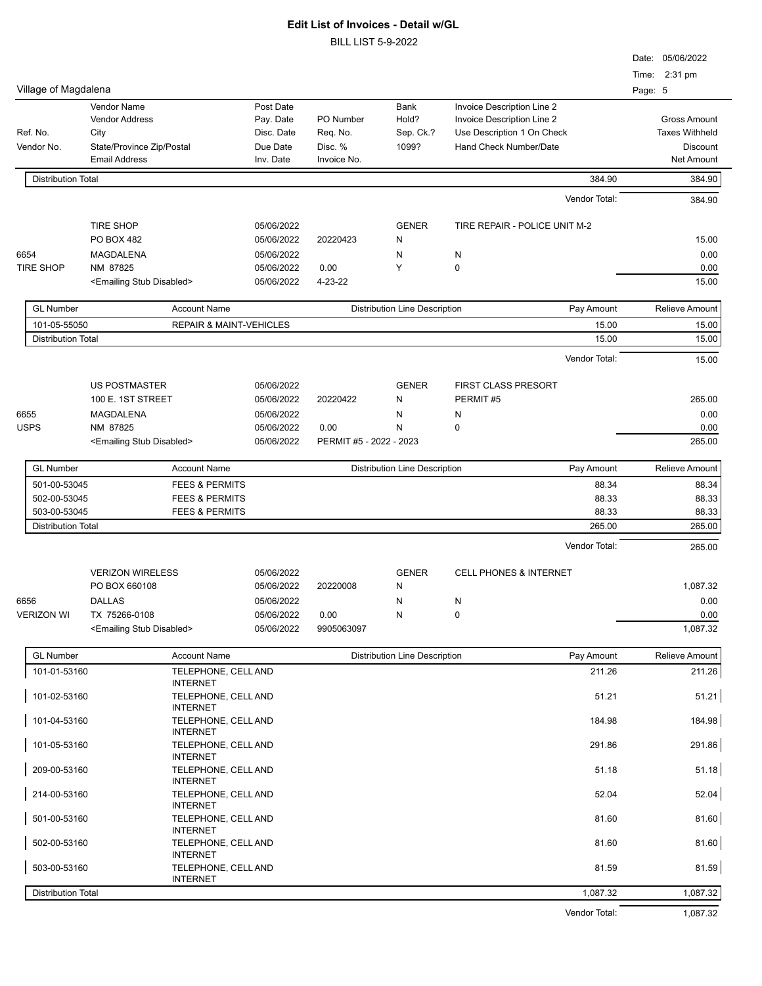|                           |                                           |                                                           |                          |                         |                                      |                                                          |         | Date: 05/06/2022                             |
|---------------------------|-------------------------------------------|-----------------------------------------------------------|--------------------------|-------------------------|--------------------------------------|----------------------------------------------------------|---------|----------------------------------------------|
|                           |                                           |                                                           |                          |                         |                                      |                                                          |         | Time: 2:31 pm                                |
| Village of Magdalena      |                                           |                                                           |                          |                         |                                      |                                                          | Page: 5 |                                              |
|                           | Vendor Name                               |                                                           | Post Date                |                         | <b>Bank</b>                          | Invoice Description Line 2                               |         |                                              |
| Ref. No.                  | <b>Vendor Address</b><br>City             |                                                           | Pay. Date<br>Disc. Date  | PO Number<br>Req. No.   | Hold?<br>Sep. Ck.?                   | Invoice Description Line 2<br>Use Description 1 On Check |         | <b>Gross Amount</b><br><b>Taxes Withheld</b> |
| Vendor No.                | State/Province Zip/Postal                 |                                                           | Due Date                 | Disc. %                 | 1099?                                | Hand Check Number/Date                                   |         | <b>Discount</b>                              |
|                           | <b>Email Address</b>                      |                                                           | Inv. Date                | Invoice No.             |                                      |                                                          |         | Net Amount                                   |
| <b>Distribution Total</b> |                                           |                                                           |                          |                         |                                      | 384.90                                                   |         | 384.90                                       |
|                           |                                           |                                                           |                          |                         |                                      | Vendor Total:                                            |         | 384.90                                       |
|                           | <b>TIRE SHOP</b>                          |                                                           |                          |                         | <b>GENER</b>                         |                                                          |         |                                              |
|                           | PO BOX 482                                |                                                           | 05/06/2022<br>05/06/2022 | 20220423                | Ν                                    | TIRE REPAIR - POLICE UNIT M-2                            |         | 15.00                                        |
| 6654                      | MAGDALENA                                 |                                                           | 05/06/2022               |                         | N                                    | N                                                        |         | 0.00                                         |
| <b>TIRE SHOP</b>          | NM 87825                                  |                                                           | 05/06/2022               | 0.00                    | Y                                    | $\mathbf 0$                                              |         | 0.00                                         |
|                           | <emailing disabled="" stub=""></emailing> |                                                           | 05/06/2022               | 4-23-22                 |                                      |                                                          |         | 15.00                                        |
| <b>GL Number</b>          |                                           | <b>Account Name</b>                                       |                          |                         | <b>Distribution Line Description</b> | Pay Amount                                               |         | <b>Relieve Amount</b>                        |
| 101-05-55050              |                                           | <b>REPAIR &amp; MAINT-VEHICLES</b>                        |                          |                         |                                      | 15.00                                                    |         | 15.00                                        |
| <b>Distribution Total</b> |                                           |                                                           |                          |                         |                                      | 15.00                                                    |         | 15.00                                        |
|                           |                                           |                                                           |                          |                         |                                      | Vendor Total:                                            |         | 15.00                                        |
|                           | <b>US POSTMASTER</b>                      |                                                           | 05/06/2022               |                         | <b>GENER</b>                         | <b>FIRST CLASS PRESORT</b>                               |         |                                              |
|                           | 100 E. 1ST STREET                         |                                                           | 05/06/2022               | 20220422                | N                                    | PERMIT#5                                                 |         | 265.00                                       |
| 6655                      | MAGDALENA                                 |                                                           | 05/06/2022               |                         | Ν                                    | N                                                        |         | 0.00                                         |
| <b>USPS</b>               | NM 87825                                  |                                                           | 05/06/2022               | 0.00                    | N                                    | $\mathbf 0$                                              |         | 0.00                                         |
|                           | <emailing disabled="" stub=""></emailing> |                                                           | 05/06/2022               | PERMIT #5 - 2022 - 2023 |                                      |                                                          |         | 265.00                                       |
| <b>GL Number</b>          |                                           | <b>Account Name</b>                                       |                          |                         | <b>Distribution Line Description</b> | Pay Amount                                               |         | Relieve Amount                               |
| 501-00-53045              |                                           | <b>FEES &amp; PERMITS</b>                                 |                          |                         |                                      | 88.34                                                    |         | 88.34                                        |
| 502-00-53045              |                                           | <b>FEES &amp; PERMITS</b>                                 |                          |                         |                                      | 88.33                                                    |         | 88.33                                        |
| 503-00-53045              |                                           | <b>FEES &amp; PERMITS</b>                                 |                          |                         |                                      | 88.33                                                    |         | 88.33                                        |
| <b>Distribution Total</b> |                                           |                                                           |                          |                         |                                      | 265.00                                                   |         | 265.00                                       |
|                           |                                           |                                                           |                          |                         |                                      | Vendor Total:                                            |         | 265.00                                       |
|                           | <b>VERIZON WIRELESS</b>                   |                                                           | 05/06/2022               |                         | <b>GENER</b>                         | <b>CELL PHONES &amp; INTERNET</b>                        |         |                                              |
|                           | PO BOX 660108                             |                                                           | 05/06/2022               | 20220008                | N                                    |                                                          |         | 1,087.32                                     |
| 6656                      | <b>DALLAS</b>                             |                                                           | 05/06/2022               |                         | N                                    | N                                                        |         | 0.00                                         |
| <b>VERIZON WI</b>         | TX 75266-0108                             |                                                           | 05/06/2022               | 0.00                    | N                                    | $\pmb{0}$                                                |         | 0.00                                         |
|                           | <emailing disabled="" stub=""></emailing> |                                                           | 05/06/2022               | 9905063097              |                                      |                                                          |         | 1,087.32                                     |
| <b>GL Number</b>          |                                           | <b>Account Name</b>                                       |                          |                         | <b>Distribution Line Description</b> | Pay Amount                                               |         | Relieve Amount                               |
| 101-01-53160              |                                           | TELEPHONE, CELL AND                                       |                          |                         |                                      | 211.26                                                   |         | 211.26                                       |
| 101-02-53160              |                                           | <b>INTERNET</b><br>TELEPHONE, CELL AND                    |                          |                         |                                      | 51.21                                                    |         | 51.21                                        |
| 101-04-53160              |                                           | <b>INTERNET</b><br>TELEPHONE, CELL AND<br><b>INTERNET</b> |                          |                         |                                      | 184.98                                                   |         | 184.98                                       |
| 101-05-53160              |                                           | TELEPHONE, CELL AND<br><b>INTERNET</b>                    |                          |                         |                                      | 291.86                                                   |         | 291.86                                       |
| 209-00-53160              |                                           | TELEPHONE, CELL AND                                       |                          |                         |                                      | 51.18                                                    |         | 51.18                                        |
| 214-00-53160              |                                           | <b>INTERNET</b><br>TELEPHONE, CELL AND<br><b>INTERNET</b> |                          |                         |                                      | 52.04                                                    |         | 52.04                                        |
| 501-00-53160              |                                           | TELEPHONE, CELL AND<br><b>INTERNET</b>                    |                          |                         |                                      | 81.60                                                    |         | 81.60                                        |
| 502-00-53160              |                                           | TELEPHONE, CELL AND<br><b>INTERNET</b>                    |                          |                         |                                      | 81.60                                                    |         | 81.60                                        |
| 503-00-53160              |                                           | TELEPHONE, CELL AND<br><b>INTERNET</b>                    |                          |                         |                                      | 81.59                                                    |         | 81.59                                        |
| <b>Distribution Total</b> |                                           |                                                           |                          |                         |                                      | 1,087.32                                                 |         | 1,087.32                                     |
|                           |                                           |                                                           |                          |                         |                                      | Vendor Total:                                            |         | 1,087.32                                     |